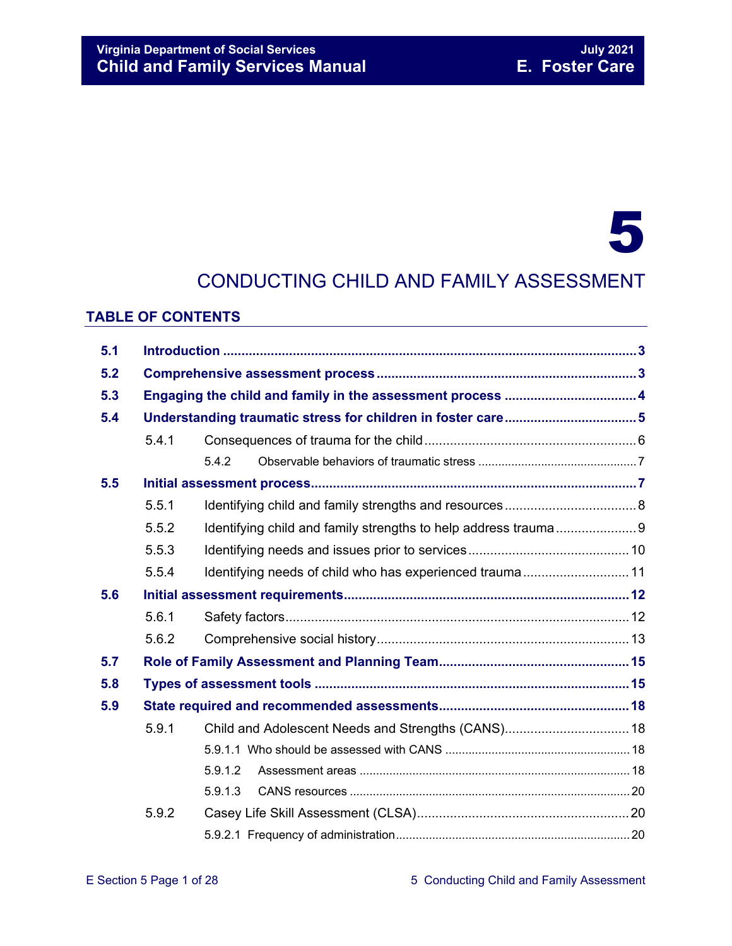#### **Virginia Department of Social Services July 2021 Child and Family Services Manual**

# 5

### CONDUCTING CHILD AND FAMILY ASSESSMENT

#### **TABLE OF CONTENTS**

| 5.1 |       |                                                                 |  |  |  |
|-----|-------|-----------------------------------------------------------------|--|--|--|
| 5.2 |       |                                                                 |  |  |  |
| 5.3 |       |                                                                 |  |  |  |
| 5.4 |       |                                                                 |  |  |  |
|     | 5.4.1 |                                                                 |  |  |  |
|     |       | 5.4.2                                                           |  |  |  |
| 5.5 |       |                                                                 |  |  |  |
|     | 5.5.1 |                                                                 |  |  |  |
|     | 5.5.2 | Identifying child and family strengths to help address trauma 9 |  |  |  |
|     | 5.5.3 |                                                                 |  |  |  |
|     | 5.5.4 | Identifying needs of child who has experienced trauma 11        |  |  |  |
| 5.6 |       |                                                                 |  |  |  |
|     | 5.6.1 |                                                                 |  |  |  |
|     | 5.6.2 |                                                                 |  |  |  |
| 5.7 |       |                                                                 |  |  |  |
| 5.8 |       |                                                                 |  |  |  |
| 5.9 |       |                                                                 |  |  |  |
|     | 5.9.1 | Child and Adolescent Needs and Strengths (CANS) 18              |  |  |  |
|     |       |                                                                 |  |  |  |
|     |       | 5.9.1.2                                                         |  |  |  |
|     |       | 5.9.1.3                                                         |  |  |  |
|     | 5.9.2 |                                                                 |  |  |  |
|     |       |                                                                 |  |  |  |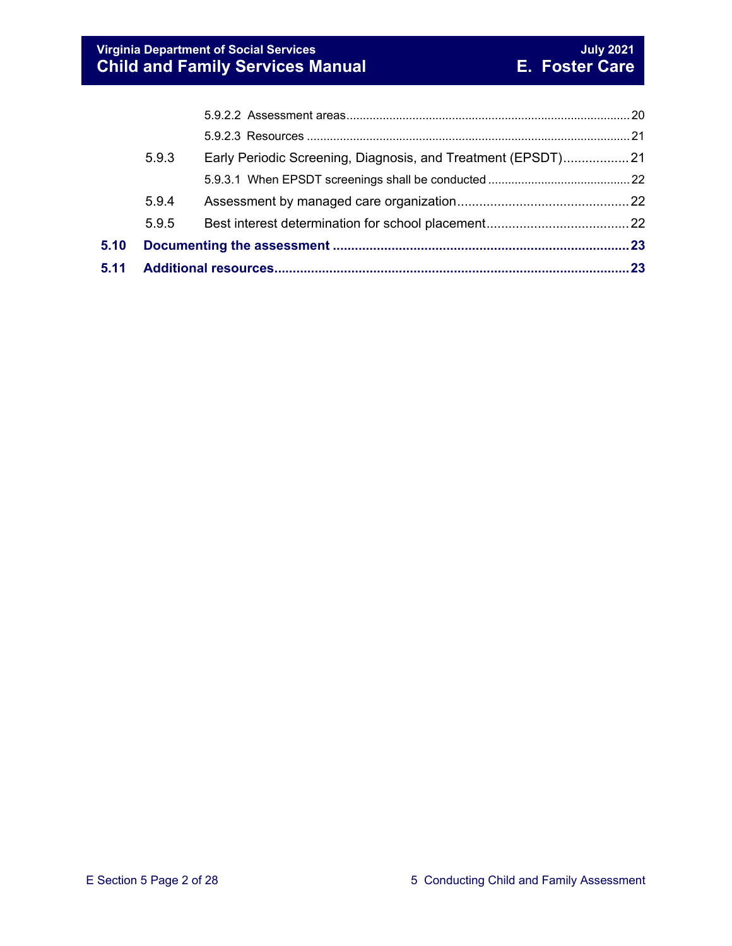| 5.11 |       |                                                               |  |  |
|------|-------|---------------------------------------------------------------|--|--|
| 5.10 |       |                                                               |  |  |
|      | 5.9.5 |                                                               |  |  |
|      | 5.9.4 |                                                               |  |  |
|      |       |                                                               |  |  |
|      | 5.9.3 | Early Periodic Screening, Diagnosis, and Treatment (EPSDT) 21 |  |  |
|      |       |                                                               |  |  |
|      |       |                                                               |  |  |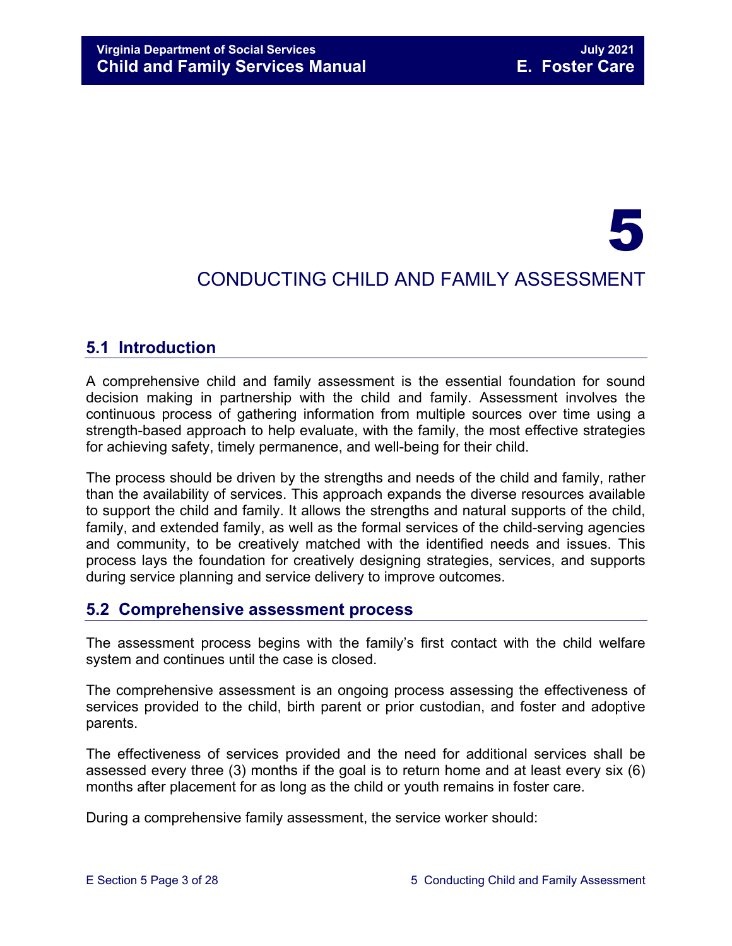# 5

## CONDUCTING CHILD AND FAMILY ASSESSMENT

#### <span id="page-2-0"></span>**5.1 Introduction**

A comprehensive child and family assessment is the essential foundation for sound decision making in partnership with the child and family. Assessment involves the continuous process of gathering information from multiple sources over time using a strength-based approach to help evaluate, with the family, the most effective strategies for achieving safety, timely permanence, and well-being for their child.

The process should be driven by the strengths and needs of the child and family, rather than the availability of services. This approach expands the diverse resources available to support the child and family. It allows the strengths and natural supports of the child, family, and extended family, as well as the formal services of the child-serving agencies and community, to be creatively matched with the identified needs and issues. This process lays the foundation for creatively designing strategies, services, and supports during service planning and service delivery to improve outcomes.

#### <span id="page-2-1"></span>**5.2 Comprehensive assessment process**

The assessment process begins with the family's first contact with the child welfare system and continues until the case is closed.

The comprehensive assessment is an ongoing process assessing the effectiveness of services provided to the child, birth parent or prior custodian, and foster and adoptive parents.

The effectiveness of services provided and the need for additional services shall be assessed every three (3) months if the goal is to return home and at least every six (6) months after placement for as long as the child or youth remains in foster care.

During a comprehensive family assessment, the service worker should: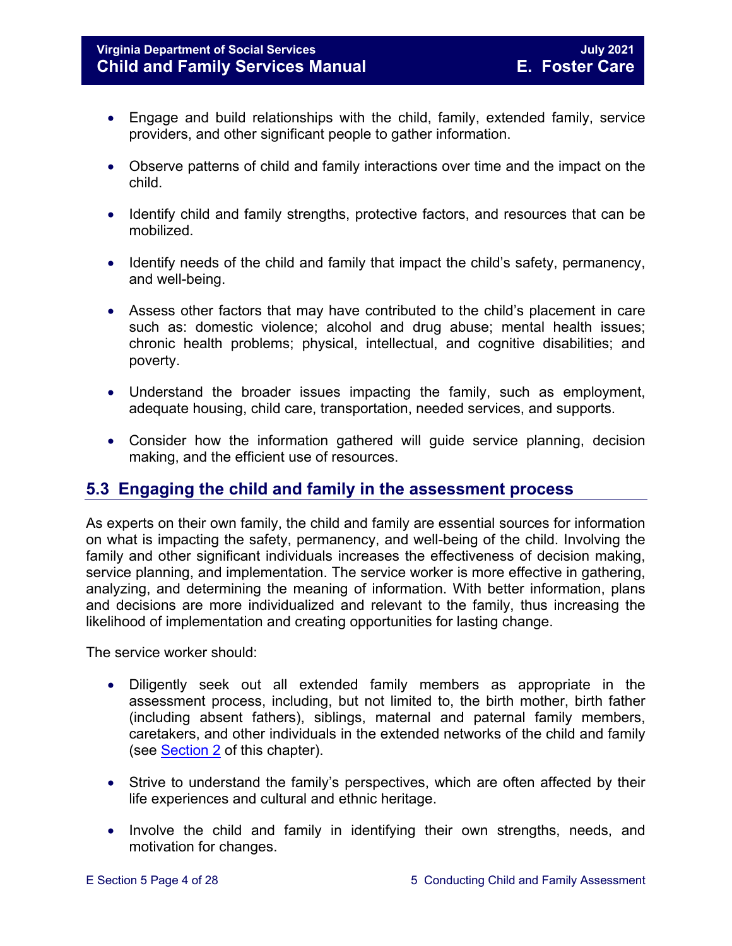- Engage and build relationships with the child, family, extended family, service providers, and other significant people to gather information.
- Observe patterns of child and family interactions over time and the impact on the child.
- Identify child and family strengths, protective factors, and resources that can be mobilized.
- Identify needs of the child and family that impact the child's safety, permanency, and well-being.
- Assess other factors that may have contributed to the child's placement in care such as: domestic violence; alcohol and drug abuse; mental health issues; chronic health problems; physical, intellectual, and cognitive disabilities; and poverty.
- Understand the broader issues impacting the family, such as employment, adequate housing, child care, transportation, needed services, and supports.
- Consider how the information gathered will guide service planning, decision making, and the efficient use of resources.

### <span id="page-3-0"></span>**5.3 Engaging the child and family in the assessment process**

As experts on their own family, the child and family are essential sources for information on what is impacting the safety, permanency, and well-being of the child. Involving the family and other significant individuals increases the effectiveness of decision making, service planning, and implementation. The service worker is more effective in gathering, analyzing, and determining the meaning of information. With better information, plans and decisions are more individualized and relevant to the family, thus increasing the likelihood of implementation and creating opportunities for lasting change.

The service worker should:

- Diligently seek out all extended family members as appropriate in the assessment process, including, but not limited to, the birth mother, birth father (including absent fathers), siblings, maternal and paternal family members, caretakers, and other individuals in the extended networks of the child and family (see [Section 2](https://fusion.dss.virginia.gov/Portals/%5bdfs%5d/Files/DFS%20Manuals/Foster%20Care%20Manuals/Foster%20Care%20Manual%2007-2020/Final%20Foster%20Care%20Manual%2007-2020/section_2_engaging_the_child_family_and_significant_adults.pdf) of this chapter).
- Strive to understand the family's perspectives, which are often affected by their life experiences and cultural and ethnic heritage.
- Involve the child and family in identifying their own strengths, needs, and motivation for changes.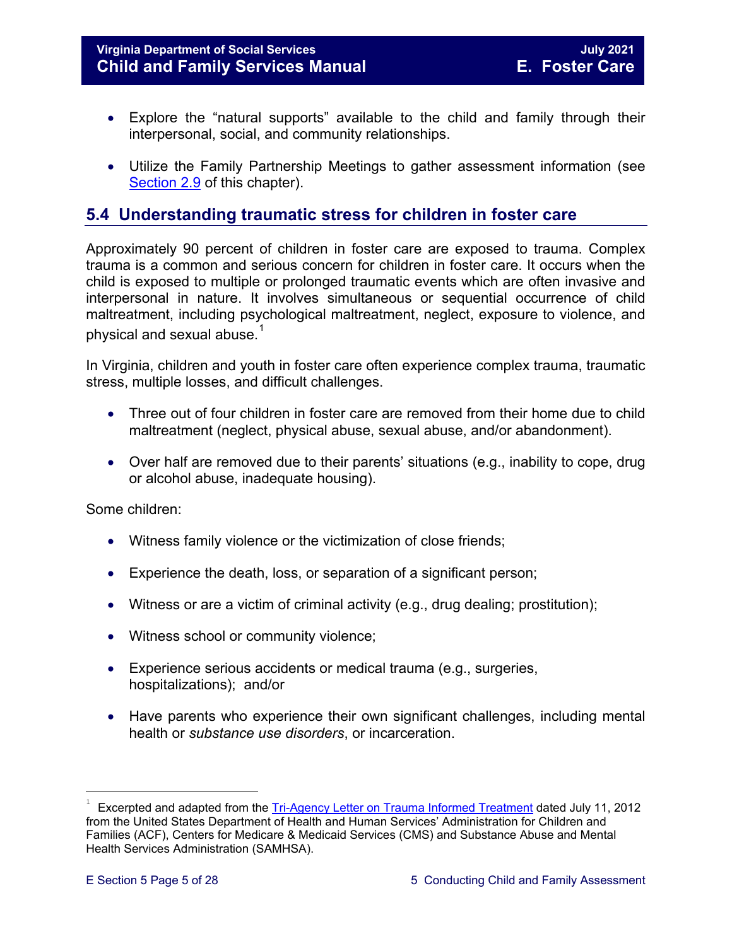#### **Virginia Department of Social Services July 2021 Child and Family Services Manual E. Foster Care**

- Explore the "natural supports" available to the child and family through their interpersonal, social, and community relationships.
- Utilize the Family Partnership Meetings to gather assessment information (see [Section 2.9](https://fusion.dss.virginia.gov/Portals/%5bdfs%5d/Files/DFS%20Manuals/Foster%20Care%20Manuals/Foster%20Care%20Manual%2007-2020/Final%20Foster%20Care%20Manual%2007-2020/section_2_engaging_the_child_family_and_significant_adults.pdf#page=19) of this chapter).

#### <span id="page-4-0"></span>**5.4 Understanding traumatic stress for children in foster care**

Approximately 90 percent of children in foster care are exposed to trauma. Complex trauma is a common and serious concern for children in foster care. It occurs when the child is exposed to multiple or prolonged traumatic events which are often invasive and interpersonal in nature. It involves simultaneous or sequential occurrence of child maltreatment, including psychological maltreatment, neglect, exposure to violence, and physical and sexual abuse. $^{\rm 1}$  $^{\rm 1}$  $^{\rm 1}$ 

In Virginia, children and youth in foster care often experience complex trauma, traumatic stress, multiple losses, and difficult challenges.

- Three out of four children in foster care are removed from their home due to child maltreatment (neglect, physical abuse, sexual abuse, and/or abandonment).
- Over half are removed due to their parents' situations (e.g., inability to cope, drug or alcohol abuse, inadequate housing).

Some children:

- Witness family violence or the victimization of close friends;
- Experience the death, loss, or separation of a significant person;
- Witness or are a victim of criminal activity (e.g., drug dealing; prostitution);
- Witness school or community violence;
- Experience serious accidents or medical trauma (e.g., surgeries, hospitalizations); and/or
- Have parents who experience their own significant challenges, including mental health or *substance use disorders*, or incarceration.

t

<span id="page-4-1"></span>Excerpted and adapted from the [Tri-Agency Letter on Trauma Informed Treatment](http://www.medicaid.gov/Federal-Policy-Guidance/Downloads/SMD-13-07-11.pdf) dated July 11, 2012 from the United States Department of Health and Human Services' Administration for Children and Families (ACF), Centers for Medicare & Medicaid Services (CMS) and Substance Abuse and Mental Health Services Administration (SAMHSA).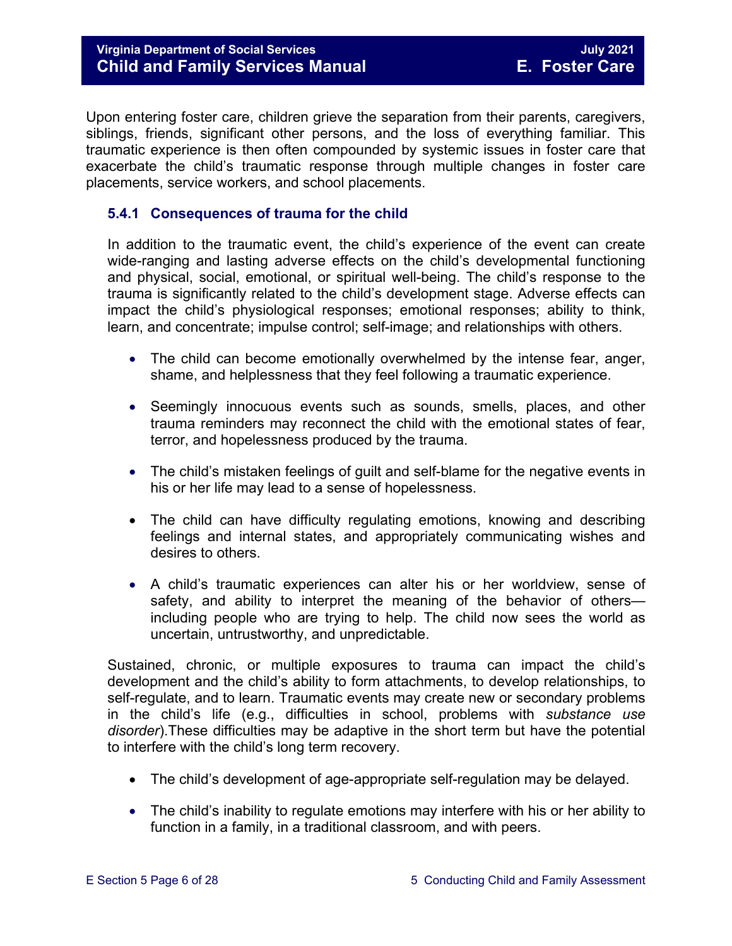#### **Virginia Department of Social Services July 2021 Child and Family Services Manual**

Upon entering foster care, children grieve the separation from their parents, caregivers, siblings, friends, significant other persons, and the loss of everything familiar. This traumatic experience is then often compounded by systemic issues in foster care that exacerbate the child's traumatic response through multiple changes in foster care placements, service workers, and school placements.

#### <span id="page-5-0"></span>**5.4.1 Consequences of trauma for the child**

In addition to the traumatic event, the child's experience of the event can create wide-ranging and lasting adverse effects on the child's developmental functioning and physical, social, emotional, or spiritual well-being. The child's response to the trauma is significantly related to the child's development stage. Adverse effects can impact the child's physiological responses; emotional responses; ability to think, learn, and concentrate; impulse control; self-image; and relationships with others.

- The child can become emotionally overwhelmed by the intense fear, anger, shame, and helplessness that they feel following a traumatic experience.
- Seemingly innocuous events such as sounds, smells, places, and other trauma reminders may reconnect the child with the emotional states of fear, terror, and hopelessness produced by the trauma.
- The child's mistaken feelings of guilt and self-blame for the negative events in his or her life may lead to a sense of hopelessness.
- The child can have difficulty regulating emotions, knowing and describing feelings and internal states, and appropriately communicating wishes and desires to others.
- A child's traumatic experiences can alter his or her worldview, sense of safety, and ability to interpret the meaning of the behavior of others including people who are trying to help. The child now sees the world as uncertain, untrustworthy, and unpredictable.

Sustained, chronic, or multiple exposures to trauma can impact the child's development and the child's ability to form attachments, to develop relationships, to self-regulate, and to learn. Traumatic events may create new or secondary problems in the child's life (e.g., difficulties in school, problems with *substance use disorder*).These difficulties may be adaptive in the short term but have the potential to interfere with the child's long term recovery.

- The child's development of age-appropriate self-regulation may be delayed.
- The child's inability to regulate emotions may interfere with his or her ability to function in a family, in a traditional classroom, and with peers.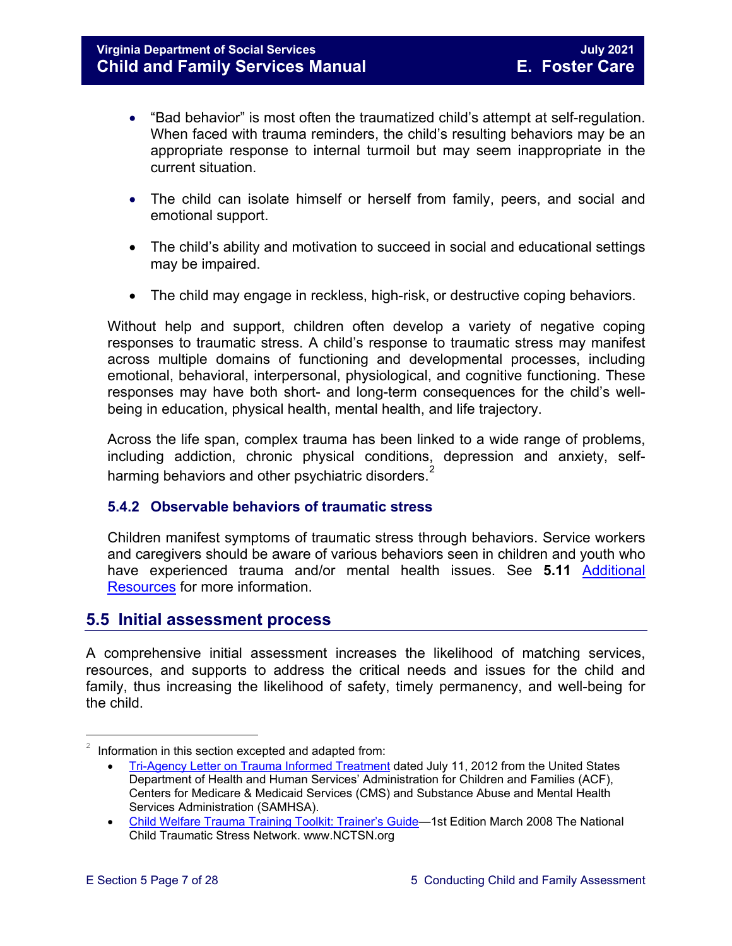- "Bad behavior" is most often the traumatized child's attempt at self-regulation. When faced with trauma reminders, the child's resulting behaviors may be an appropriate response to internal turmoil but may seem inappropriate in the current situation.
- The child can isolate himself or herself from family, peers, and social and emotional support.
- The child's ability and motivation to succeed in social and educational settings may be impaired.
- The child may engage in reckless, high-risk, or destructive coping behaviors.

Without help and support, children often develop a variety of negative coping responses to traumatic stress. A child's response to traumatic stress may manifest across multiple domains of functioning and developmental processes, including emotional, behavioral, interpersonal, physiological, and cognitive functioning. These responses may have both short- and long-term consequences for the child's wellbeing in education, physical health, mental health, and life trajectory.

Across the life span, complex trauma has been linked to a wide range of problems, including addiction, chronic physical conditions, depression and anxiety, selfharming behaviors and other psychiatric disorders. $^{\text{\tiny{2}}}$  $^{\text{\tiny{2}}}$  $^{\text{\tiny{2}}}$ 

#### <span id="page-6-0"></span>**5.4.2 Observable behaviors of traumatic stress**

Children manifest symptoms of traumatic stress through behaviors. Service workers and caregivers should be aware of various behaviors seen in children and youth who have experienced trauma and/or mental health issues. See **5.11** [Additional](#page-22-1)  [Resources](#page-22-1) for more information.

#### <span id="page-6-1"></span>**5.5 Initial assessment process**

A comprehensive initial assessment increases the likelihood of matching services, resources, and supports to address the critical needs and issues for the child and family, thus increasing the likelihood of safety, timely permanency, and well-being for the child.

Ĩ.

<span id="page-6-2"></span>Information in this section excepted and adapted from:

<sup>•</sup> [Tri-Agency Letter on Trauma Informed Treatment](http://www.medicaid.gov/Federal-Policy-Guidance/Downloads/SMD-13-07-11.pdf) dated July 11, 2012 from the United States Department of Health and Human Services' Administration for Children and Families (ACF), Centers for Medicare & Medicaid Services (CMS) and Substance Abuse and Mental Health Services Administration (SAMHSA).

<sup>•</sup> Child Welfare Trauma Training Toolkit: Trainer's Guide-1st Edition March 2008 The National Child Traumatic Stress Network. www.NCTSN.org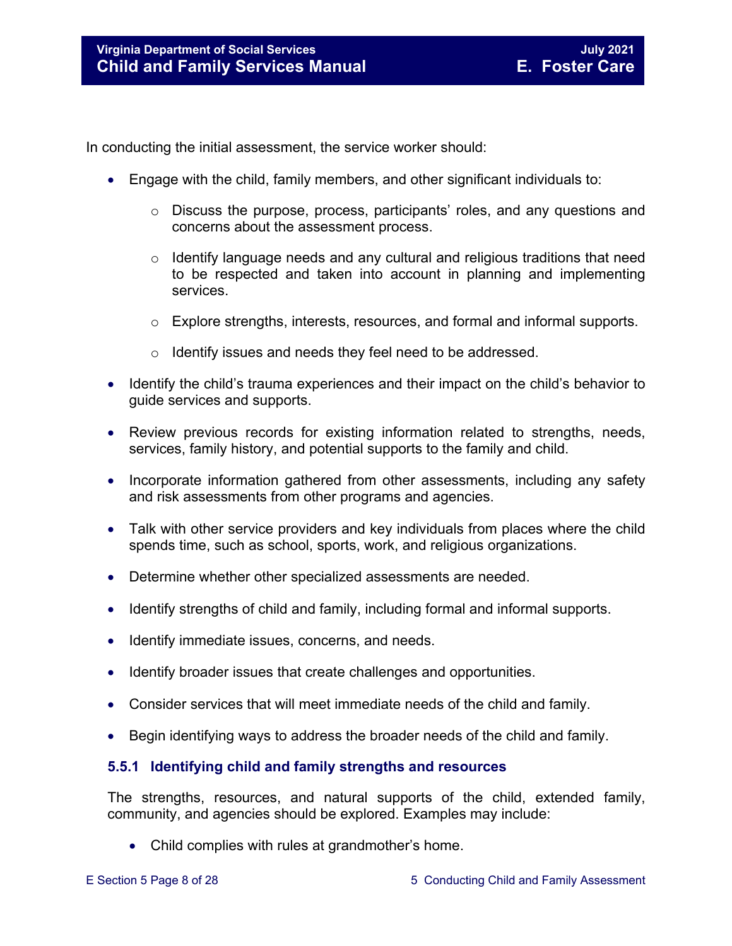In conducting the initial assessment, the service worker should:

- Engage with the child, family members, and other significant individuals to:
	- o Discuss the purpose, process, participants' roles, and any questions and concerns about the assessment process.
	- $\circ$  Identify language needs and any cultural and religious traditions that need to be respected and taken into account in planning and implementing services.
	- $\circ$  Explore strengths, interests, resources, and formal and informal supports.
	- o Identify issues and needs they feel need to be addressed.
- Identify the child's trauma experiences and their impact on the child's behavior to guide services and supports.
- Review previous records for existing information related to strengths, needs, services, family history, and potential supports to the family and child.
- Incorporate information gathered from other assessments, including any safety and risk assessments from other programs and agencies.
- Talk with other service providers and key individuals from places where the child spends time, such as school, sports, work, and religious organizations.
- Determine whether other specialized assessments are needed.
- Identify strengths of child and family, including formal and informal supports.
- Identify immediate issues, concerns, and needs.
- Identify broader issues that create challenges and opportunities.
- Consider services that will meet immediate needs of the child and family.
- Begin identifying ways to address the broader needs of the child and family.

#### <span id="page-7-0"></span>**5.5.1 Identifying child and family strengths and resources**

The strengths, resources, and natural supports of the child, extended family, community, and agencies should be explored. Examples may include:

• Child complies with rules at grandmother's home.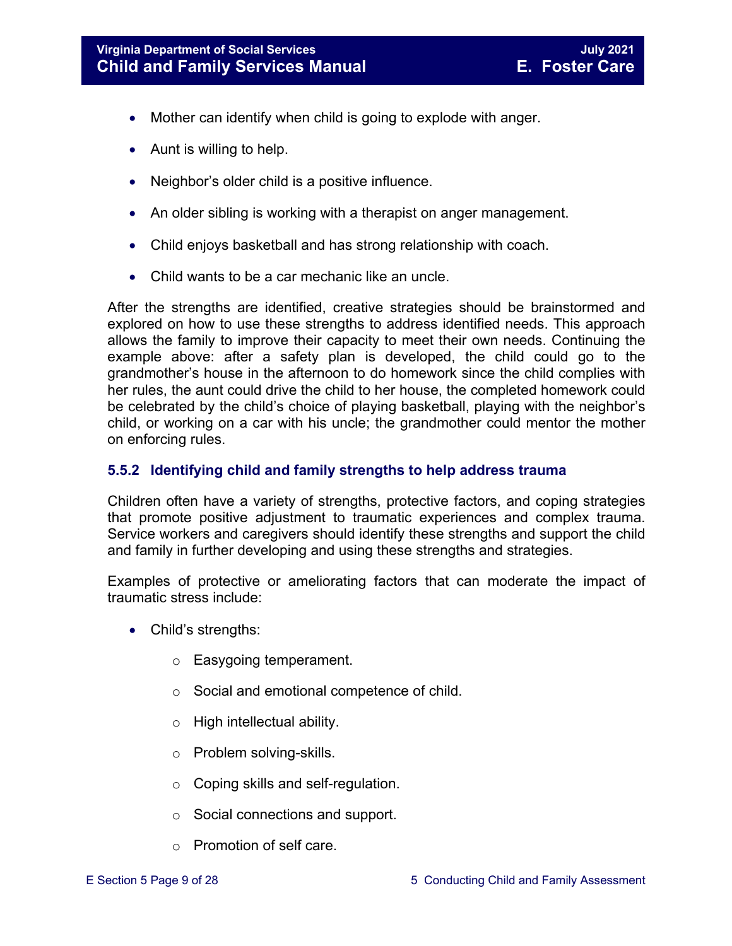- Mother can identify when child is going to explode with anger.
- Aunt is willing to help.
- Neighbor's older child is a positive influence.
- An older sibling is working with a therapist on anger management.
- Child enjoys basketball and has strong relationship with coach.
- Child wants to be a car mechanic like an uncle.

After the strengths are identified, creative strategies should be brainstormed and explored on how to use these strengths to address identified needs. This approach allows the family to improve their capacity to meet their own needs. Continuing the example above: after a safety plan is developed, the child could go to the grandmother's house in the afternoon to do homework since the child complies with her rules, the aunt could drive the child to her house, the completed homework could be celebrated by the child's choice of playing basketball, playing with the neighbor's child, or working on a car with his uncle; the grandmother could mentor the mother on enforcing rules.

#### <span id="page-8-0"></span>**5.5.2 Identifying child and family strengths to help address trauma**

Children often have a variety of strengths, protective factors, and coping strategies that promote positive adjustment to traumatic experiences and complex trauma. Service workers and caregivers should identify these strengths and support the child and family in further developing and using these strengths and strategies.

Examples of protective or ameliorating factors that can moderate the impact of traumatic stress include:

- Child's strengths:
	- o Easygoing temperament.
	- o Social and emotional competence of child.
	- o High intellectual ability.
	- o Problem solving-skills.
	- o Coping skills and self-regulation.
	- o Social connections and support.
	- o Promotion of self care.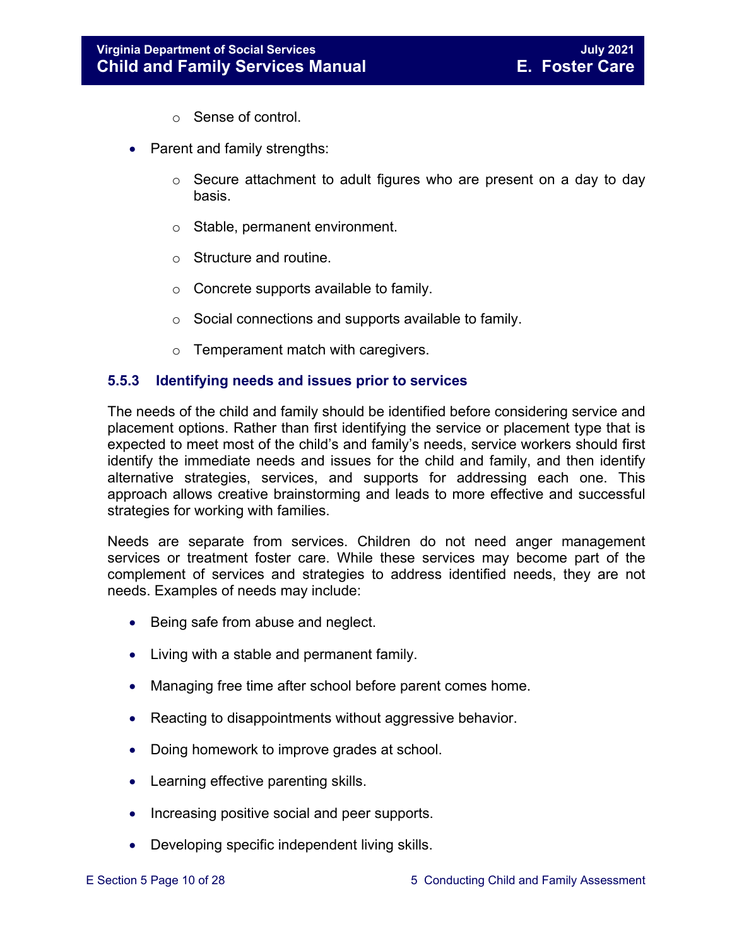- o Sense of control.
- Parent and family strengths:
	- $\circ$  Secure attachment to adult figures who are present on a day to day basis.
	- o Stable, permanent environment.
	- o Structure and routine.
	- o Concrete supports available to family.
	- $\circ$  Social connections and supports available to family.
	- o Temperament match with caregivers.

#### <span id="page-9-0"></span>**5.5.3 Identifying needs and issues prior to services**

The needs of the child and family should be identified before considering service and placement options. Rather than first identifying the service or placement type that is expected to meet most of the child's and family's needs, service workers should first identify the immediate needs and issues for the child and family, and then identify alternative strategies, services, and supports for addressing each one. This approach allows creative brainstorming and leads to more effective and successful strategies for working with families.

Needs are separate from services. Children do not need anger management services or treatment foster care. While these services may become part of the complement of services and strategies to address identified needs, they are not needs. Examples of needs may include:

- Being safe from abuse and neglect.
- Living with a stable and permanent family.
- Managing free time after school before parent comes home.
- Reacting to disappointments without aggressive behavior.
- Doing homework to improve grades at school.
- Learning effective parenting skills.
- Increasing positive social and peer supports.
- Developing specific independent living skills.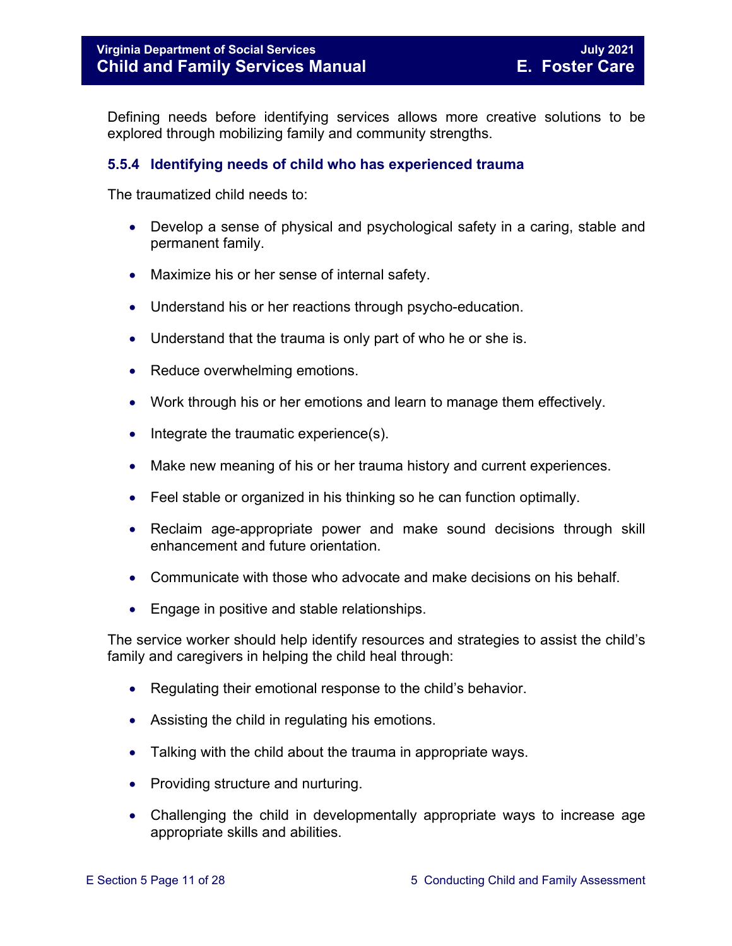Defining needs before identifying services allows more creative solutions to be explored through mobilizing family and community strengths.

#### <span id="page-10-0"></span>**5.5.4 Identifying needs of child who has experienced trauma**

The traumatized child needs to:

- Develop a sense of physical and psychological safety in a caring, stable and permanent family.
- Maximize his or her sense of internal safety.
- Understand his or her reactions through psycho-education.
- Understand that the trauma is only part of who he or she is.
- Reduce overwhelming emotions.
- Work through his or her emotions and learn to manage them effectively.
- Integrate the traumatic experience(s).
- Make new meaning of his or her trauma history and current experiences.
- Feel stable or organized in his thinking so he can function optimally.
- Reclaim age-appropriate power and make sound decisions through skill enhancement and future orientation.
- Communicate with those who advocate and make decisions on his behalf.
- Engage in positive and stable relationships.

The service worker should help identify resources and strategies to assist the child's family and caregivers in helping the child heal through:

- Regulating their emotional response to the child's behavior.
- Assisting the child in regulating his emotions.
- Talking with the child about the trauma in appropriate ways.
- Providing structure and nurturing.
- Challenging the child in developmentally appropriate ways to increase age appropriate skills and abilities.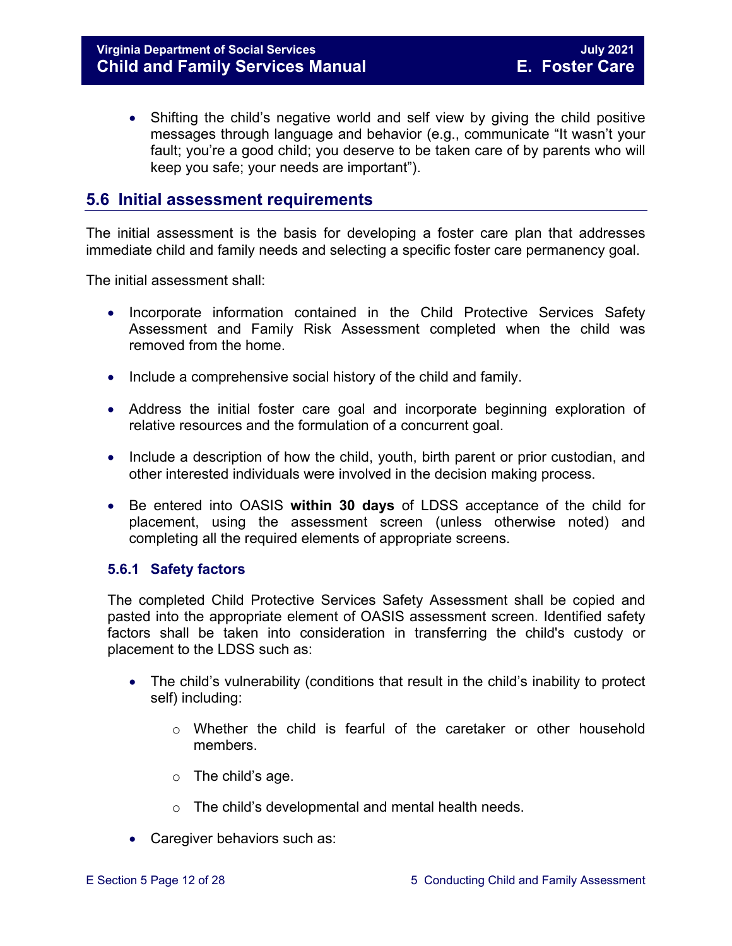• Shifting the child's negative world and self view by giving the child positive messages through language and behavior (e.g., communicate "It wasn't your fault; you're a good child; you deserve to be taken care of by parents who will keep you safe; your needs are important").

#### <span id="page-11-0"></span>**5.6 Initial assessment requirements**

The initial assessment is the basis for developing a foster care plan that addresses immediate child and family needs and selecting a specific foster care permanency goal.

The initial assessment shall:

- Incorporate information contained in the Child Protective Services Safety Assessment and Family Risk Assessment completed when the child was removed from the home.
- Include a comprehensive social history of the child and family.
- Address the initial foster care goal and incorporate beginning exploration of relative resources and the formulation of a concurrent goal.
- Include a description of how the child, youth, birth parent or prior custodian, and other interested individuals were involved in the decision making process.
- Be entered into OASIS **within 30 days** of LDSS acceptance of the child for placement, using the assessment screen (unless otherwise noted) and completing all the required elements of appropriate screens.

#### <span id="page-11-1"></span>**5.6.1 Safety factors**

The completed Child Protective Services Safety Assessment shall be copied and pasted into the appropriate element of OASIS assessment screen. Identified safety factors shall be taken into consideration in transferring the child's custody or placement to the LDSS such as:

- The child's vulnerability (conditions that result in the child's inability to protect self) including:
	- o Whether the child is fearful of the caretaker or other household members.
	- $\circ$  The child's age.
	- o The child's developmental and mental health needs.
- Caregiver behaviors such as: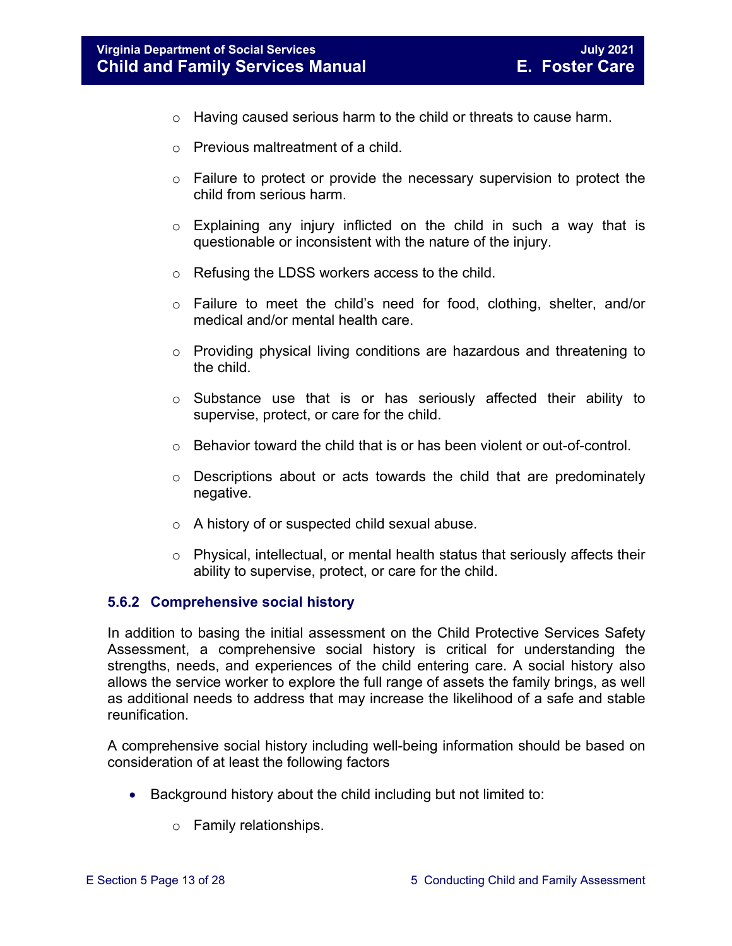- o Having caused serious harm to the child or threats to cause harm.
- $\circ$  Previous maltreatment of a child.
- $\circ$  Failure to protect or provide the necessary supervision to protect the child from serious harm.
- $\circ$  Explaining any injury inflicted on the child in such a way that is questionable or inconsistent with the nature of the injury.
- o Refusing the LDSS workers access to the child.
- o Failure to meet the child's need for food, clothing, shelter, and/or medical and/or mental health care.
- o Providing physical living conditions are hazardous and threatening to the child.
- o Substance use that is or has seriously affected their ability to supervise, protect, or care for the child.
- $\circ$  Behavior toward the child that is or has been violent or out-of-control.
- o Descriptions about or acts towards the child that are predominately negative.
- o A history of or suspected child sexual abuse.
- $\circ$  Physical, intellectual, or mental health status that seriously affects their ability to supervise, protect, or care for the child.

#### <span id="page-12-0"></span>**5.6.2 Comprehensive social history**

In addition to basing the initial assessment on the Child Protective Services Safety Assessment, a comprehensive social history is critical for understanding the strengths, needs, and experiences of the child entering care. A social history also allows the service worker to explore the full range of assets the family brings, as well as additional needs to address that may increase the likelihood of a safe and stable reunification.

A comprehensive social history including well-being information should be based on consideration of at least the following factors

- Background history about the child including but not limited to:
	- o Family relationships.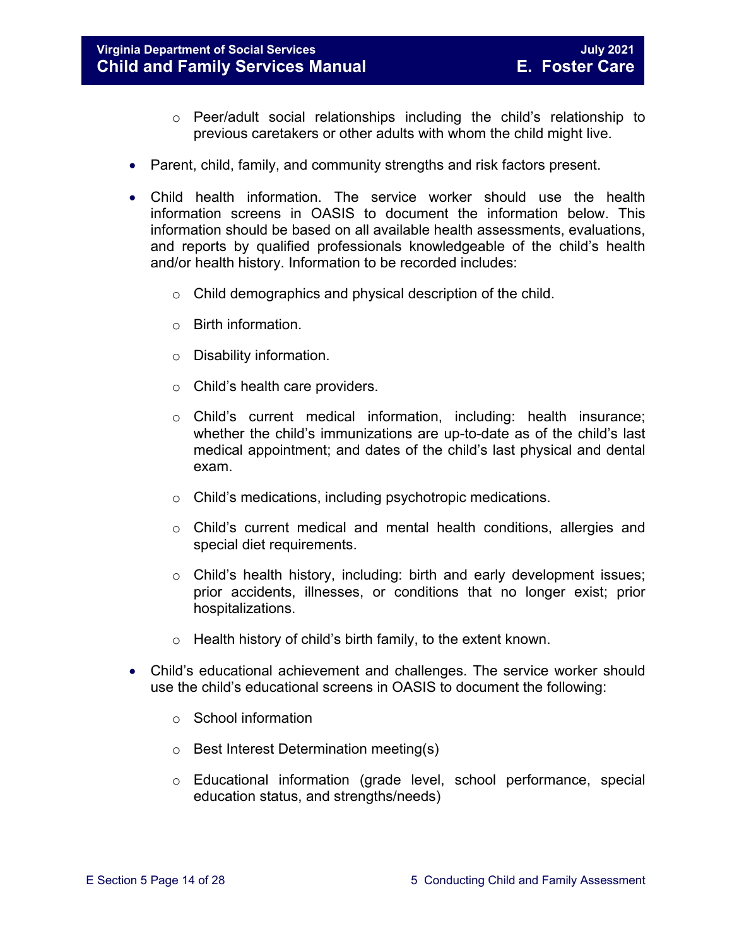#### **Virginia Department of Social Services July 2021 Child and Family Services Manual**

- $\circ$  Peer/adult social relationships including the child's relationship to previous caretakers or other adults with whom the child might live.
- Parent, child, family, and community strengths and risk factors present.
- Child health information. The service worker should use the health information screens in OASIS to document the information below. This information should be based on all available health assessments, evaluations, and reports by qualified professionals knowledgeable of the child's health and/or health history. Information to be recorded includes:
	- o Child demographics and physical description of the child.
	- o Birth information.
	- o Disability information.
	- o Child's health care providers.
	- o Child's current medical information, including: health insurance; whether the child's immunizations are up-to-date as of the child's last medical appointment; and dates of the child's last physical and dental exam.
	- o Child's medications, including psychotropic medications.
	- o Child's current medical and mental health conditions, allergies and special diet requirements.
	- $\circ$  Child's health history, including: birth and early development issues; prior accidents, illnesses, or conditions that no longer exist; prior hospitalizations.
	- $\circ$  Health history of child's birth family, to the extent known.
- Child's educational achievement and challenges. The service worker should use the child's educational screens in OASIS to document the following:
	- o School information
	- o Best Interest Determination meeting(s)
	- o Educational information (grade level, school performance, special education status, and strengths/needs)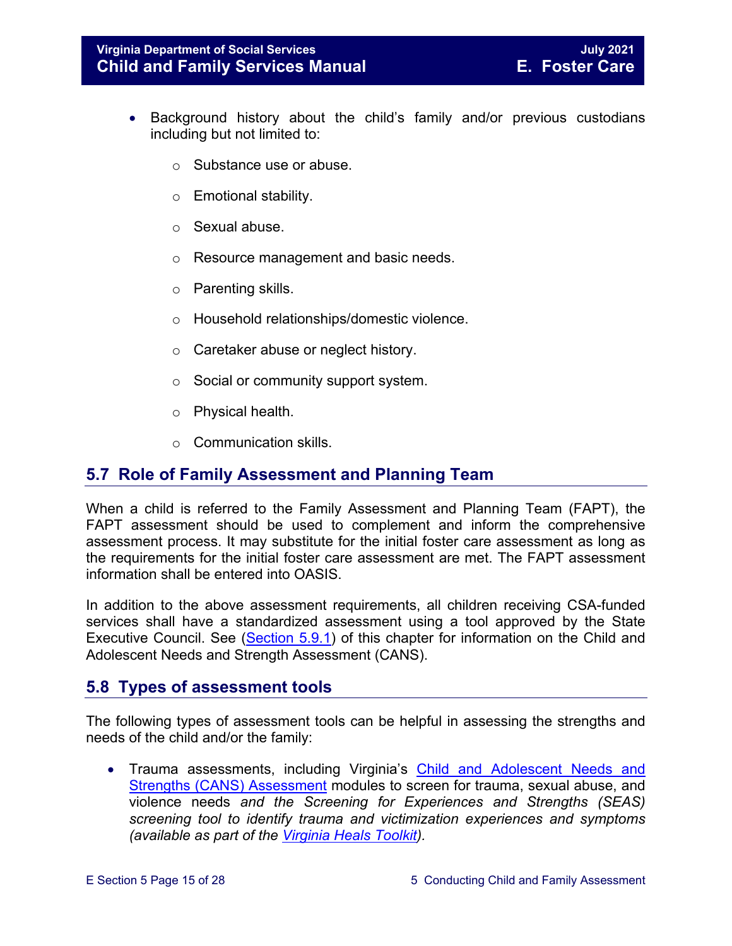- Background history about the child's family and/or previous custodians including but not limited to:
	- o Substance use or abuse.
	- o Emotional stability.
	- o Sexual abuse.
	- o Resource management and basic needs.
	- o Parenting skills.
	- o Household relationships/domestic violence.
	- o Caretaker abuse or neglect history.
	- o Social or community support system.
	- o Physical health.
	- o Communication skills.

#### <span id="page-14-0"></span>**5.7 Role of Family Assessment and Planning Team**

When a child is referred to the Family Assessment and Planning Team (FAPT), the FAPT assessment should be used to complement and inform the comprehensive assessment process. It may substitute for the initial foster care assessment as long as the requirements for the initial foster care assessment are met. The FAPT assessment information shall be entered into OASIS.

In addition to the above assessment requirements, all children receiving CSA-funded services shall have a standardized assessment using a tool approved by the State Executive Council. See [\(Section 5.9.1\)](#page-17-1) of this chapter for information on the Child and Adolescent Needs and Strength Assessment (CANS).

#### <span id="page-14-1"></span>**5.8 Types of assessment tools**

The following types of assessment tools can be helpful in assessing the strengths and needs of the child and/or the family:

• Trauma assessments, including Virginia's Child and Adolescent Needs and [Strengths \(CANS\) Assessment](https://www.csa.virginia.gov/CANS) modules to screen for trauma, sexual abuse, and violence needs *and the Screening for Experiences and Strengths (SEAS) screening tool to identify trauma and victimization experiences and symptoms (available as part of the [Virginia Heals Toolkit\)](https://virginiaheals.com/toolkit/#screen).*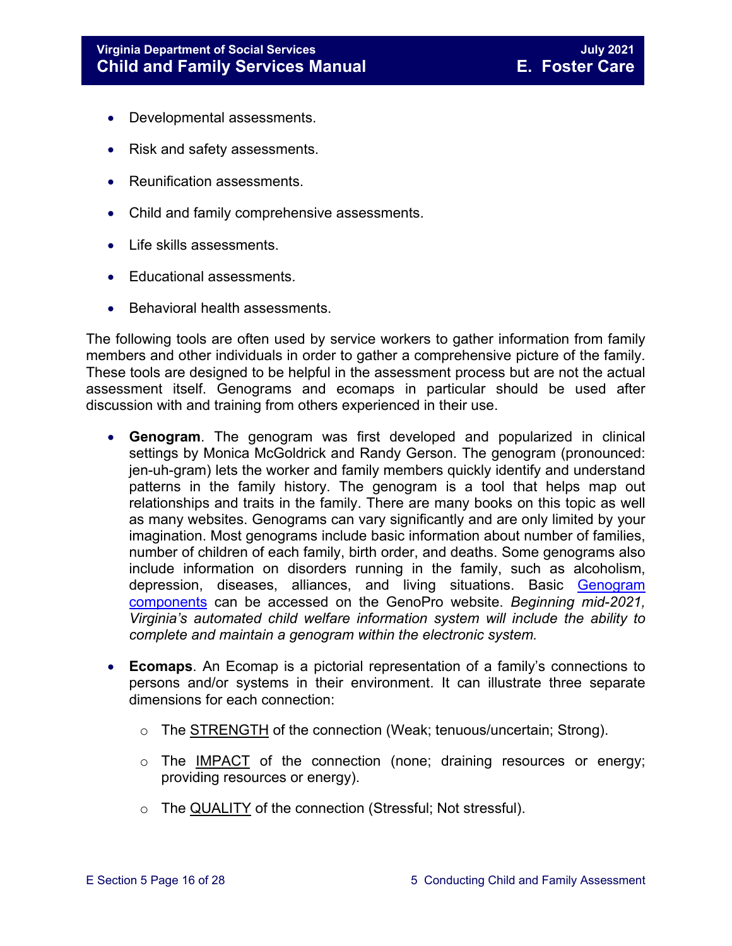- Developmental assessments.
- Risk and safety assessments.
- Reunification assessments.
- Child and family comprehensive assessments.
- Life skills assessments.
- Educational assessments.
- Behavioral health assessments.

The following tools are often used by service workers to gather information from family members and other individuals in order to gather a comprehensive picture of the family. These tools are designed to be helpful in the assessment process but are not the actual assessment itself. Genograms and ecomaps in particular should be used after discussion with and training from others experienced in their use.

- **Genogram**. The genogram was first developed and popularized in clinical settings by Monica McGoldrick and Randy Gerson. The genogram (pronounced: jen-uh-gram) lets the worker and family members quickly identify and understand patterns in the family history. The genogram is a tool that helps map out relationships and traits in the family. There are many books on this topic as well as many websites. Genograms can vary significantly and are only limited by your imagination. Most genograms include basic information about number of families, number of children of each family, birth order, and deaths. Some genograms also include information on disorders running in the family, such as alcoholism, depression, diseases, alliances, and living situations. Basic [Genogram](http://www.genopro.com/genogram_components/default.htm)  [components](http://www.genopro.com/genogram_components/default.htm) can be accessed on the GenoPro website. *Beginning mid-2021, Virginia's automated child welfare information system will include the ability to complete and maintain a genogram within the electronic system.*
- **Ecomaps**. An Ecomap is a pictorial representation of a family's connections to persons and/or systems in their environment. It can illustrate three separate dimensions for each connection:
	- o The STRENGTH of the connection (Weak; tenuous/uncertain; Strong).
	- $\circ$  The IMPACT of the connection (none; draining resources or energy; providing resources or energy).
	- o The QUALITY of the connection (Stressful; Not stressful).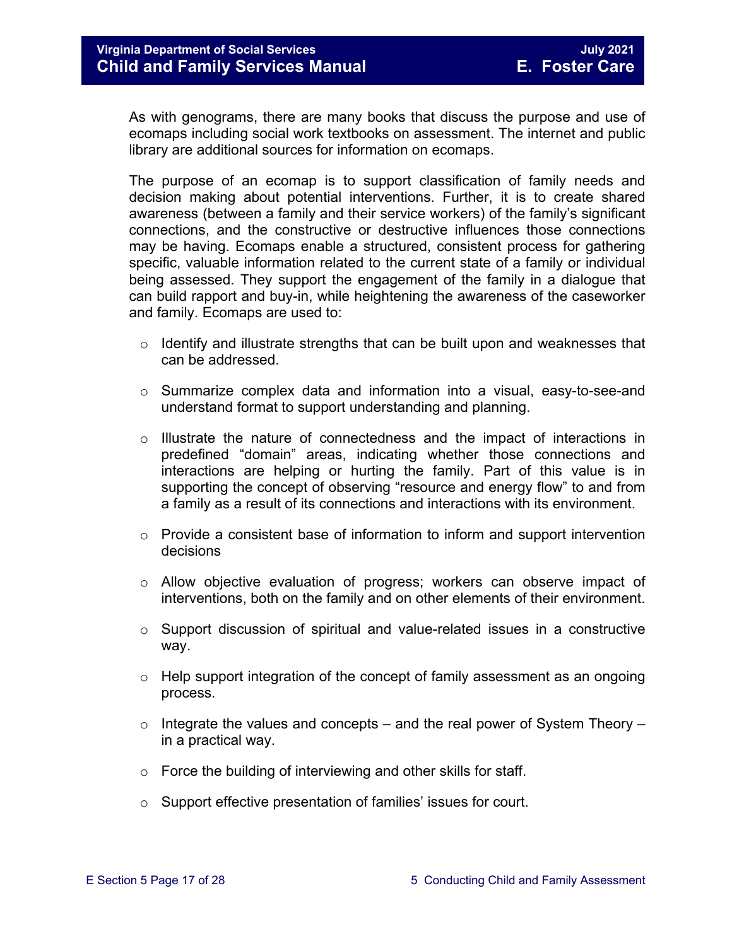As with genograms, there are many books that discuss the purpose and use of ecomaps including social work textbooks on assessment. The internet and public library are additional sources for information on ecomaps.

The purpose of an ecomap is to support classification of family needs and decision making about potential interventions. Further, it is to create shared awareness (between a family and their service workers) of the family's significant connections, and the constructive or destructive influences those connections may be having. Ecomaps enable a structured, consistent process for gathering specific, valuable information related to the current state of a family or individual being assessed. They support the engagement of the family in a dialogue that can build rapport and buy-in, while heightening the awareness of the caseworker and family. Ecomaps are used to:

- $\circ$  Identify and illustrate strengths that can be built upon and weaknesses that can be addressed.
- $\circ$  Summarize complex data and information into a visual, easy-to-see-and understand format to support understanding and planning.
- $\circ$  Illustrate the nature of connectedness and the impact of interactions in predefined "domain" areas, indicating whether those connections and interactions are helping or hurting the family. Part of this value is in supporting the concept of observing "resource and energy flow" to and from a family as a result of its connections and interactions with its environment.
- o Provide a consistent base of information to inform and support intervention decisions
- $\circ$  Allow objective evaluation of progress; workers can observe impact of interventions, both on the family and on other elements of their environment.
- o Support discussion of spiritual and value-related issues in a constructive way.
- $\circ$  Help support integration of the concept of family assessment as an ongoing process.
- $\circ$  Integrate the values and concepts and the real power of System Theory in a practical way.
- o Force the building of interviewing and other skills for staff.
- o Support effective presentation of families' issues for court.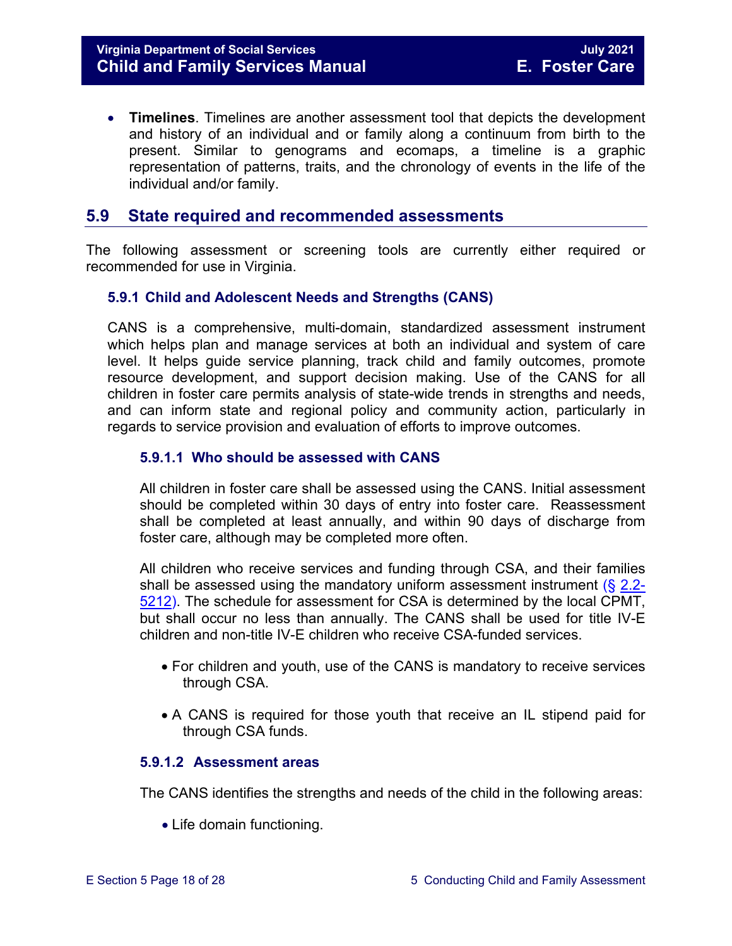• **Timelines**. Timelines are another assessment tool that depicts the development and history of an individual and or family along a continuum from birth to the present. Similar to genograms and ecomaps, a timeline is a graphic representation of patterns, traits, and the chronology of events in the life of the individual and/or family.

#### <span id="page-17-0"></span>**5.9 State required and recommended assessments**

The following assessment or screening tools are currently either required or recommended for use in Virginia.

#### <span id="page-17-1"></span>**5.9.1 Child and Adolescent Needs and Strengths (CANS)**

CANS is a comprehensive, multi-domain, standardized assessment instrument which helps plan and manage services at both an individual and system of care level. It helps guide service planning, track child and family outcomes, promote resource development, and support decision making. Use of the CANS for all children in foster care permits analysis of state-wide trends in strengths and needs, and can inform state and regional policy and community action, particularly in regards to service provision and evaluation of efforts to improve outcomes.

#### <span id="page-17-2"></span>**5.9.1.1 Who should be assessed with CANS**

All children in foster care shall be assessed using the CANS. Initial assessment should be completed within 30 days of entry into foster care. Reassessment shall be completed at least annually, and within 90 days of discharge from foster care, although may be completed more often.

All children who receive services and funding through CSA, and their families shall be assessed using the mandatory uniform assessment instrument  $(\S$  [2.2-](https://law.lis.virginia.gov/vacode/2.2-5212/) [5212\)](https://law.lis.virginia.gov/vacode/2.2-5212/). The schedule for assessment for CSA is determined by the local CPMT, but shall occur no less than annually. The CANS shall be used for title IV-E children and non-title IV-E children who receive CSA-funded services.

- For children and youth, use of the CANS is mandatory to receive services through CSA.
- A CANS is required for those youth that receive an IL stipend paid for through CSA funds.

#### <span id="page-17-3"></span>**5.9.1.2 Assessment areas**

The CANS identifies the strengths and needs of the child in the following areas:

• Life domain functioning.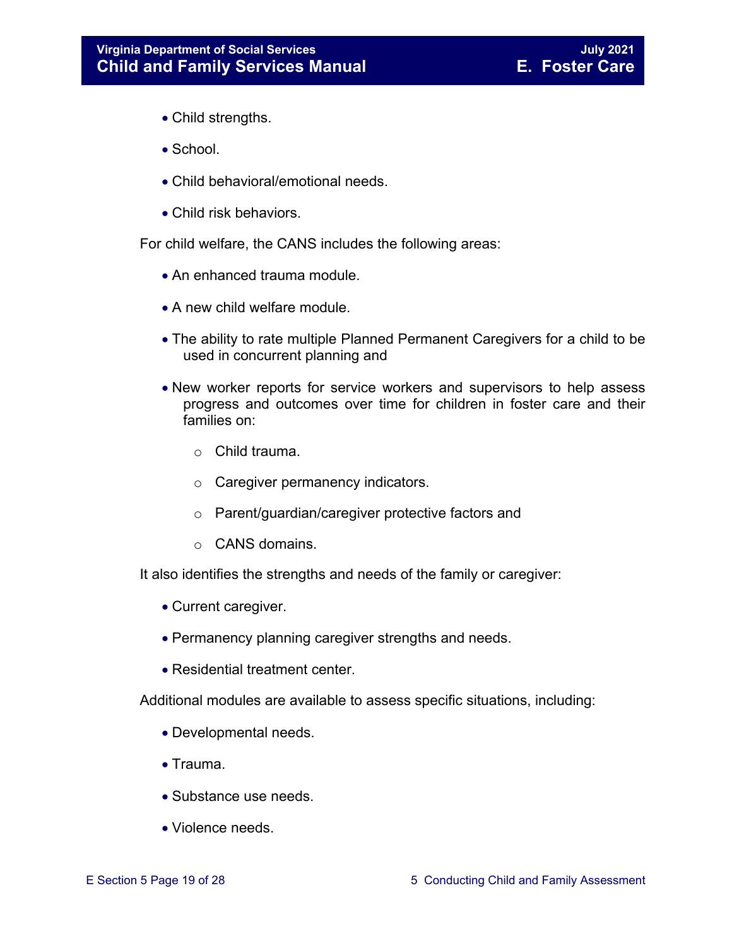- Child strengths.
- School.
- Child behavioral/emotional needs.
- Child risk behaviors.

For child welfare, the CANS includes the following areas:

- An enhanced trauma module.
- A new child welfare module.
- The ability to rate multiple Planned Permanent Caregivers for a child to be used in concurrent planning and
- New worker reports for service workers and supervisors to help assess progress and outcomes over time for children in foster care and their families on:
	- o Child trauma.
	- o Caregiver permanency indicators.
	- o Parent/guardian/caregiver protective factors and
	- o CANS domains.

It also identifies the strengths and needs of the family or caregiver:

- Current caregiver.
- Permanency planning caregiver strengths and needs.
- Residential treatment center.

Additional modules are available to assess specific situations, including:

- Developmental needs.
- Trauma.
- Substance use needs.
- Violence needs.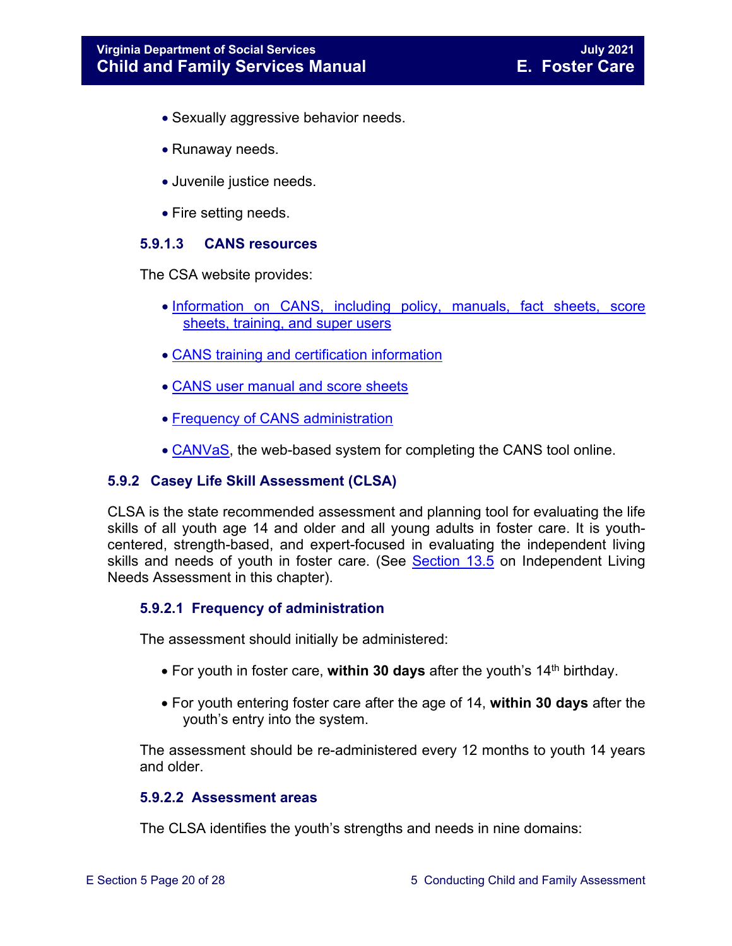- Sexually aggressive behavior needs.
- Runaway needs.
- Juvenile justice needs.
- Fire setting needs.

#### <span id="page-19-0"></span>**5.9.1.3 CANS resources**

The CSA website provides:

- [Information on CANS, including policy, manuals, fact sheets, score](http://www.csa.virginia.gov/html/CANS/cans.cfm)  [sheets, training, and super users](http://www.csa.virginia.gov/html/CANS/cans.cfm)
- [CANS training and certification information](http://www.csa.virginia.gov/html/CANS/CANS_training.cfm)
- [CANS user manual and score sheets](http://www.csa.virginia.gov/html/CANS/cans_documents.cfm)
- [Frequency of CANS administration](http://www.csa.virginia.gov/html/CANS/CANS%20Policy.cfm)
- [CANVaS,](http://www.csa.virginia.gov/html/CANS/canvas.cfm) the web-based system for completing the CANS tool online.

#### <span id="page-19-1"></span>**5.9.2 Casey Life Skill Assessment (CLSA)**

CLSA is the state recommended assessment and planning tool for evaluating the life skills of all youth age 14 and older and all young adults in foster care. It is youthcentered, strength-based, and expert-focused in evaluating the independent living skills and needs of youth in foster care. (See [Section 13.5](https://fusion.dss.virginia.gov/Portals/%5bdfs%5d/Files/DFS%20Manuals/Foster%20Care%20Manuals/Foster%20Care%20Manual%2007-2020/Final%20Foster%20Care%20Manual%2007-2020/Section_13_achieving_permanency_for_older_youth.pdf#page=11) on Independent Living Needs Assessment in this chapter).

#### <span id="page-19-2"></span>**5.9.2.1 Frequency of administration**

The assessment should initially be administered:

- For youth in foster care, within 30 days after the youth's 14<sup>th</sup> birthday.
- For youth entering foster care after the age of 14, **within 30 days** after the youth's entry into the system.

The assessment should be re-administered every 12 months to youth 14 years and older.

#### <span id="page-19-3"></span>**5.9.2.2 Assessment areas**

The CLSA identifies the youth's strengths and needs in nine domains: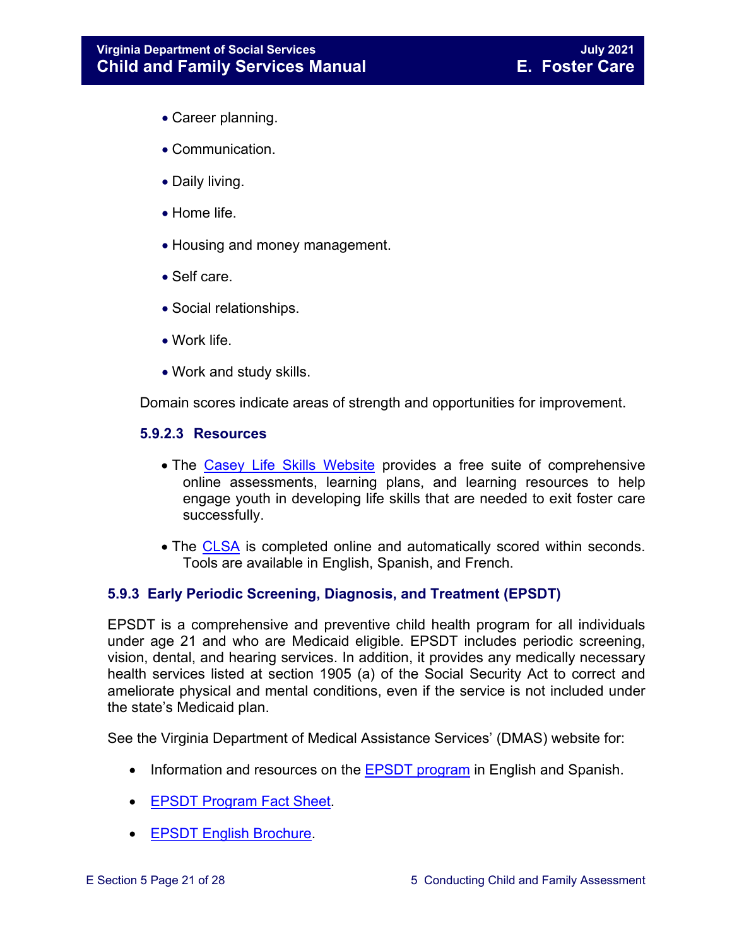- Career planning.
- Communication.
- Daily living.
- Home life.
- Housing and money management.
- Self care.
- Social relationships.
- Work life.
- Work and study skills.

Domain scores indicate areas of strength and opportunities for improvement.

#### <span id="page-20-0"></span>**5.9.2.3 Resources**

- The [Casey Life Skills Website](http://www.casey.org/Resources/Tools/cls/default.htm) provides a free suite of comprehensive online assessments, learning plans, and learning resources to help engage youth in developing life skills that are needed to exit foster care successfully.
- The [CLSA](http://lifeskills.casey.org/) is completed online and automatically scored within seconds. Tools are available in English, Spanish, and French.

#### <span id="page-20-1"></span>**5.9.3 Early Periodic Screening, Diagnosis, and Treatment (EPSDT)**

EPSDT is a comprehensive and preventive child health program for all individuals under age 21 and who are Medicaid eligible. EPSDT includes periodic screening, vision, dental, and hearing services. In addition, it provides any medically necessary health services listed at section 1905 (a) of the Social Security Act to correct and ameliorate physical and mental conditions, even if the service is not included under the state's Medicaid plan.

See the Virginia Department of Medical Assistance Services' (DMAS) website for:

- Information and resources on the **EPSDT** program in English and Spanish.
- [EPSDT Program Fact Sheet.](http://www.dmas.virginia.gov/Content_atchs/mch/mch-epsdt_fs.pdf)
- [EPSDT English Brochure.](http://www.dmas.virginia.gov/Content_atchs/mch/mch-epsdt_breng.pdf)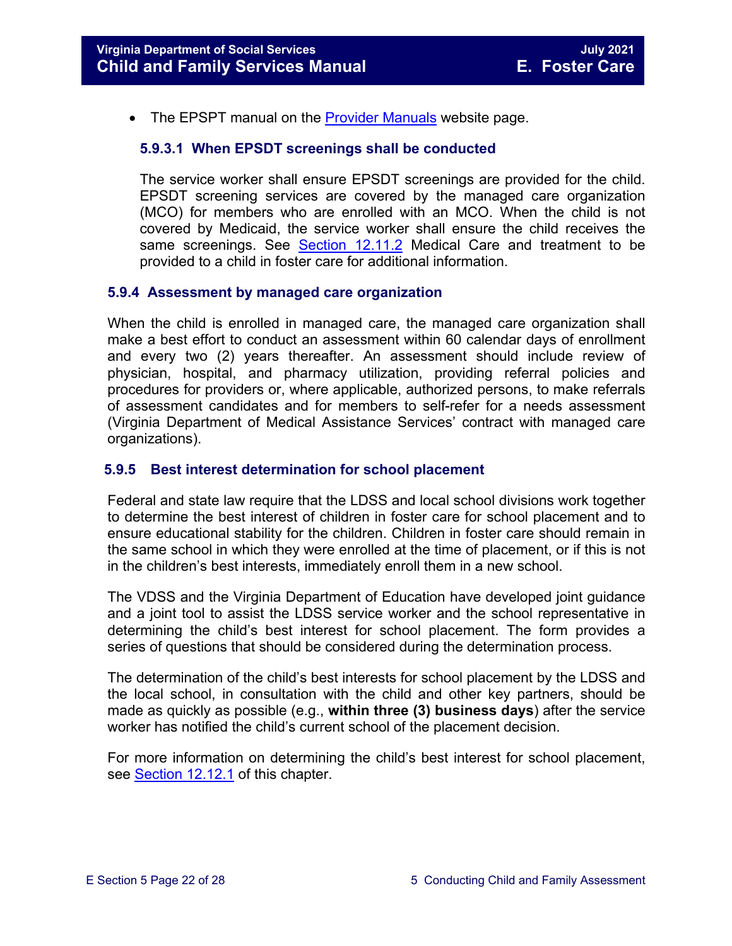<span id="page-21-0"></span>• The EPSPT manual on the **Provider Manuals** website page.

#### **5.9.3.1 When EPSDT screenings shall be conducted**

The service worker shall ensure EPSDT screenings are provided for the child. EPSDT screening services are covered by the managed care organization (MCO) for members who are enrolled with an MCO. When the child is not covered by Medicaid, the service worker shall ensure the child receives the same screenings. See [Section 12.11.2](https://fusion.dss.virginia.gov/Portals/%5bdfs%5d/Files/DFS%20Manuals/Foster%20Care%20Manuals/Foster%20Care%20Manual%2007-2020/Final%20Foster%20Care%20Manual%2007-2020/section_12_identifying_services_to_be_provided.pdf#page=22) Medical Care and treatment to be provided to a child in foster care for additional information.

#### <span id="page-21-1"></span>**5.9.4 Assessment by managed care organization**

When the child is enrolled in managed care, the managed care organization shall make a best effort to conduct an assessment within 60 calendar days of enrollment and every two (2) years thereafter. An assessment should include review of physician, hospital, and pharmacy utilization, providing referral policies and procedures for providers or, where applicable, authorized persons, to make referrals of assessment candidates and for members to self-refer for a needs assessment (Virginia Department of Medical Assistance Services' contract with managed care organizations).

#### <span id="page-21-2"></span>**5.9.5 Best interest determination for school placement**

Federal and state law require that the LDSS and local school divisions work together to determine the best interest of children in foster care for school placement and to ensure educational stability for the children. Children in foster care should remain in the same school in which they were enrolled at the time of placement, or if this is not in the children's best interests, immediately enroll them in a new school.

The VDSS and the Virginia Department of Education have developed joint guidance and a joint tool to assist the LDSS service worker and the school representative in determining the child's best interest for school placement. The form provides a series of questions that should be considered during the determination process.

The determination of the child's best interests for school placement by the LDSS and the local school, in consultation with the child and other key partners, should be made as quickly as possible (e.g., **within three (3) business days**) after the service worker has notified the child's current school of the placement decision.

For more information on determining the child's best interest for school placement, see [Section](https://fusion.dss.virginia.gov/Portals/%5bdfs%5d/Files/DFS%20Manuals/Foster%20Care%20Manuals/Foster%20Care%20Manual%2007-2019/section_12_identifying_services_to_be_provided.pdf#page=50) 12.12.1 of this chapter.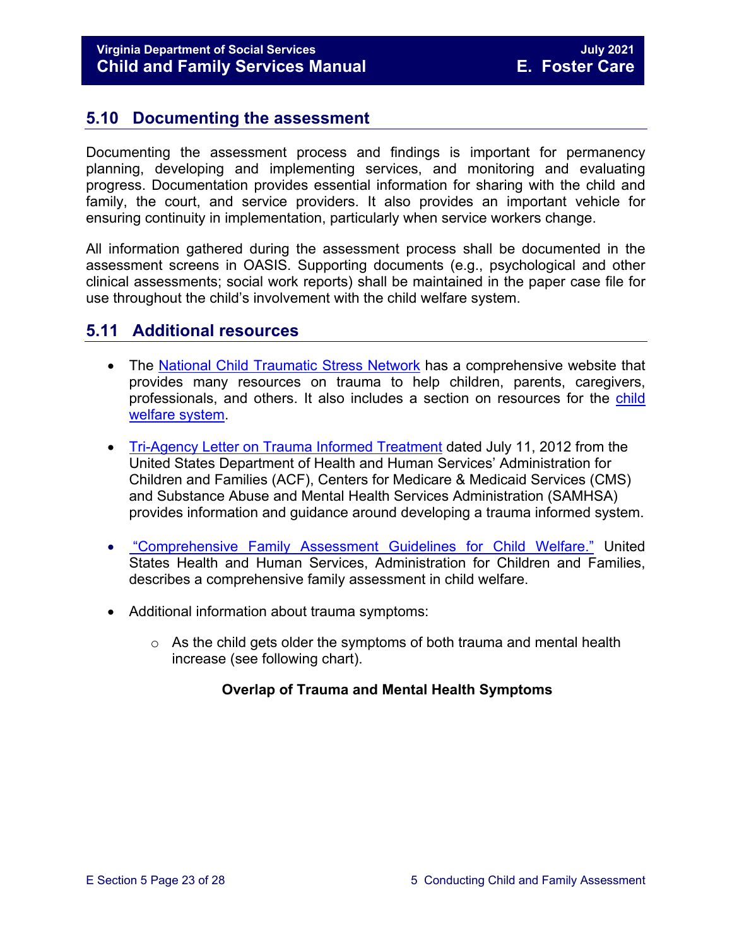#### <span id="page-22-0"></span>**5.10 Documenting the assessment**

Documenting the assessment process and findings is important for permanency planning, developing and implementing services, and monitoring and evaluating progress. Documentation provides essential information for sharing with the child and family, the court, and service providers. It also provides an important vehicle for ensuring continuity in implementation, particularly when service workers change.

All information gathered during the assessment process shall be documented in the assessment screens in OASIS. Supporting documents (e.g., psychological and other clinical assessments; social work reports) shall be maintained in the paper case file for use throughout the child's involvement with the child welfare system.

#### <span id="page-22-1"></span>**5.11 Additional resources**

- The [National Child Traumatic Stress Network](http://www.nctsn.org/) has a comprehensive website that provides many resources on trauma to help children, parents, caregivers, professionals, and others. It also includes a section on resources for the [child](http://www.nctsn.org/resources/topics/child-welfare-system)  [welfare system.](http://www.nctsn.org/resources/topics/child-welfare-system)
- [Tri-Agency Letter on Trauma Informed Treatment](http://www.medicaid.gov/Federal-Policy-Guidance/Downloads/SMD-13-07-11.pdf) dated July 11, 2012 from the United States Department of Health and Human Services' Administration for Children and Families (ACF), Centers for Medicare & Medicaid Services (CMS) and Substance Abuse and Mental Health Services Administration (SAMHSA) provides information and guidance around developing a trauma informed system.
- "Comprehensive [Family Assessment Guidelines for Child Welfare."](http://www.acf.hhs.gov/sites/default/files/cb/family_assessment.pdf) United States Health and Human Services, Administration for Children and Families, describes a comprehensive family assessment in child welfare.
- Additional information about trauma symptoms:
	- $\circ$  As the child gets older the symptoms of both trauma and mental health increase (see following chart).

#### **Overlap of Trauma and Mental Health Symptoms**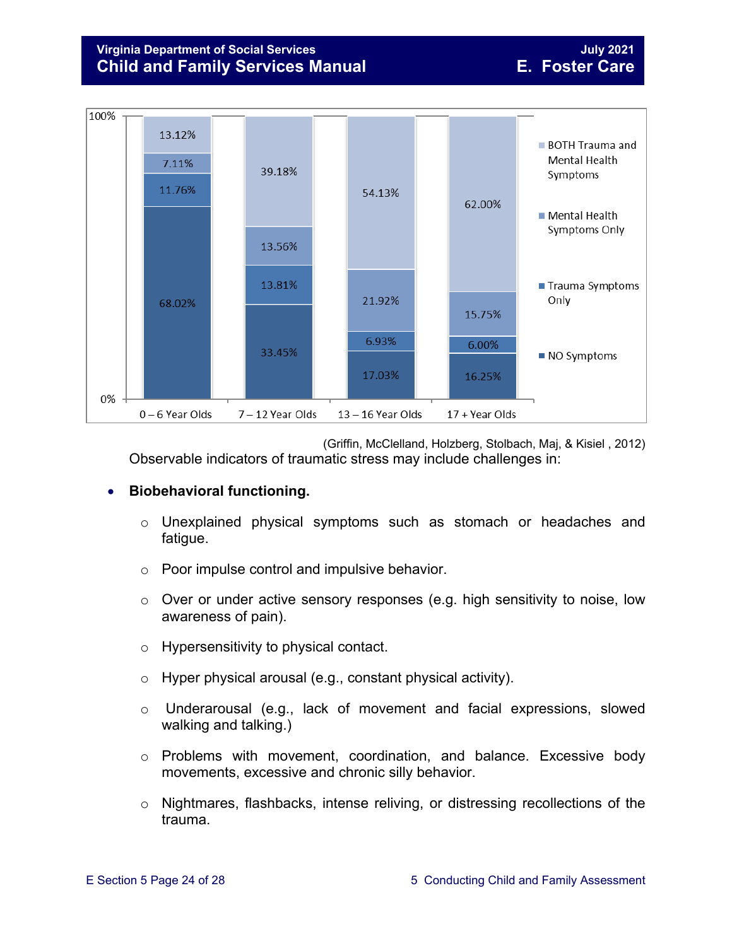#### **Virginia Department of Social Services July 2021 Child and Family Services Manual E. Foster Care**



(Griffin, McClelland, Holzberg, Stolbach, Maj, & Kisiel , 2012) Observable indicators of traumatic stress may include challenges in:

#### • **Biobehavioral functioning.**

- o Unexplained physical symptoms such as stomach or headaches and fatigue.
- o Poor impulse control and impulsive behavior.
- o Over or under active sensory responses (e.g. high sensitivity to noise, low awareness of pain).
- o Hypersensitivity to physical contact.
- o Hyper physical arousal (e.g., constant physical activity).
- o Underarousal (e.g., lack of movement and facial expressions, slowed walking and talking.)
- o Problems with movement, coordination, and balance. Excessive body movements, excessive and chronic silly behavior.
- o Nightmares, flashbacks, intense reliving, or distressing recollections of the trauma.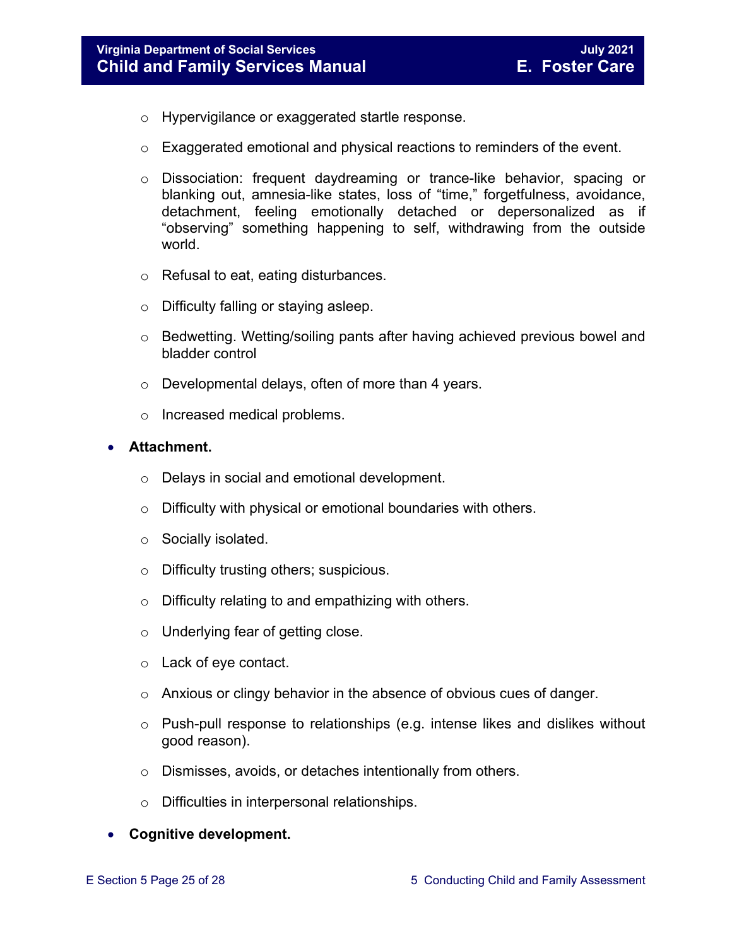- o Hypervigilance or exaggerated startle response.
- $\circ$  Exaggerated emotional and physical reactions to reminders of the event.
- o Dissociation: frequent daydreaming or trance-like behavior, spacing or blanking out, amnesia-like states, loss of "time," forgetfulness, avoidance, detachment, feeling emotionally detached or depersonalized as if "observing" something happening to self, withdrawing from the outside world.
- o Refusal to eat, eating disturbances.
- o Difficulty falling or staying asleep.
- o Bedwetting. Wetting/soiling pants after having achieved previous bowel and bladder control
- o Developmental delays, often of more than 4 years.
- o Increased medical problems.

#### • **Attachment.**

- o Delays in social and emotional development.
- $\circ$  Difficulty with physical or emotional boundaries with others.
- o Socially isolated.
- o Difficulty trusting others; suspicious.
- o Difficulty relating to and empathizing with others.
- o Underlying fear of getting close.
- o Lack of eye contact.
- $\circ$  Anxious or clingy behavior in the absence of obvious cues of danger.
- o Push-pull response to relationships (e.g. intense likes and dislikes without good reason).
- o Dismisses, avoids, or detaches intentionally from others.
- o Difficulties in interpersonal relationships.

#### • **Cognitive development.**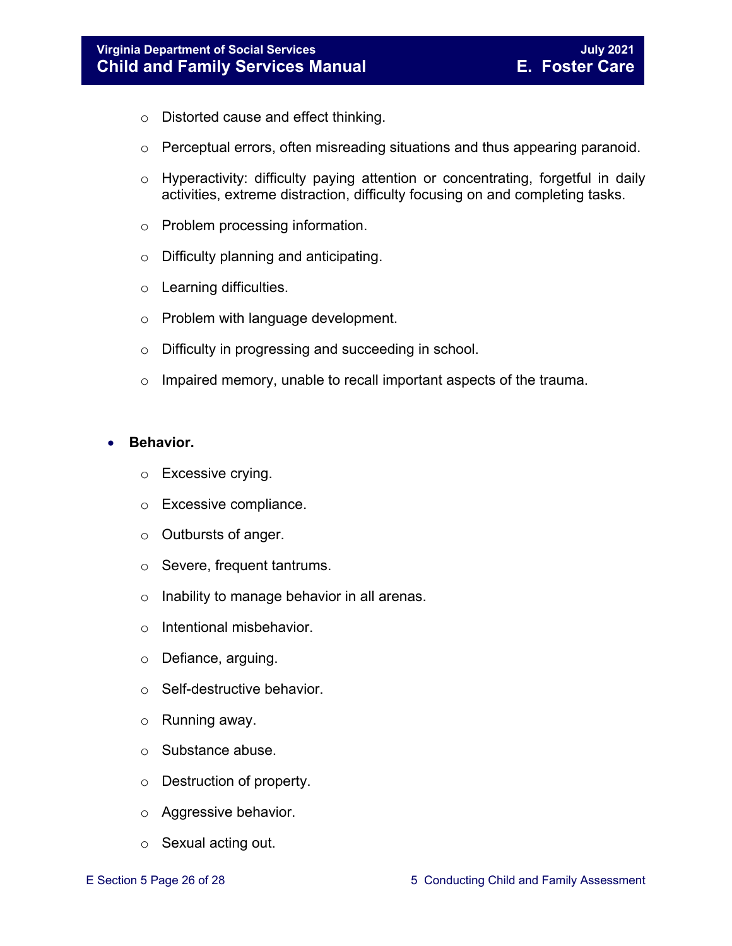- o Distorted cause and effect thinking.
- o Perceptual errors, often misreading situations and thus appearing paranoid.
- o Hyperactivity: difficulty paying attention or concentrating, forgetful in daily activities, extreme distraction, difficulty focusing on and completing tasks.
- o Problem processing information.
- o Difficulty planning and anticipating.
- o Learning difficulties.
- o Problem with language development.
- o Difficulty in progressing and succeeding in school.
- $\circ$  Impaired memory, unable to recall important aspects of the trauma.

#### • **Behavior.**

- o Excessive crying.
- o Excessive compliance.
- o Outbursts of anger.
- o Severe, frequent tantrums.
- o Inability to manage behavior in all arenas.
- o Intentional misbehavior.
- o Defiance, arguing.
- o Self-destructive behavior.
- o Running away.
- o Substance abuse.
- o Destruction of property.
- o Aggressive behavior.
- o Sexual acting out.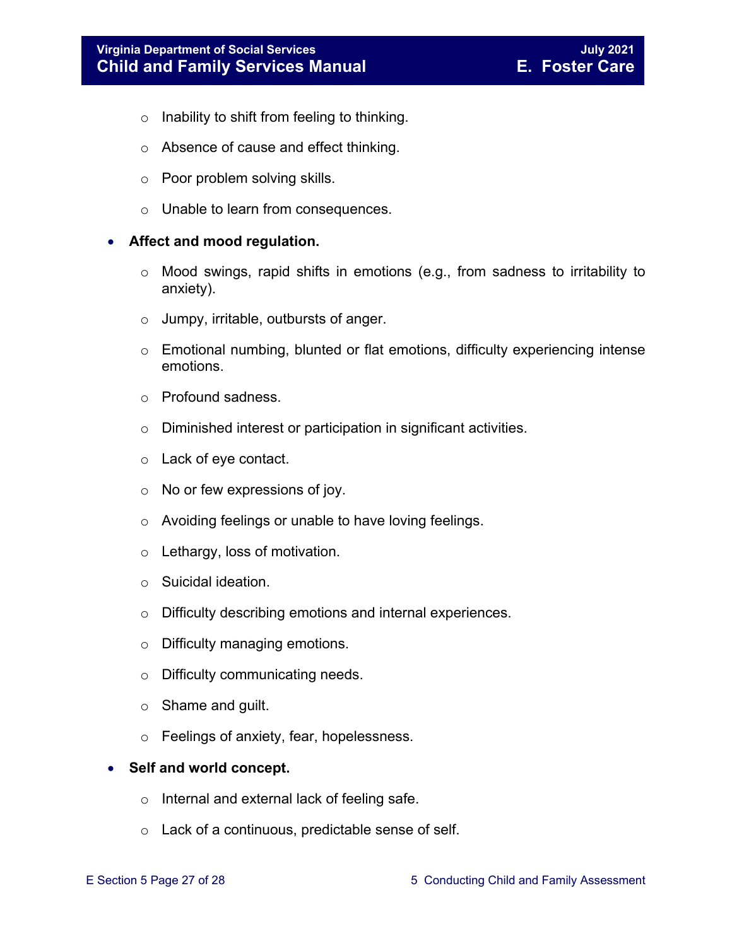- $\circ$  Inability to shift from feeling to thinking.
- o Absence of cause and effect thinking.
- o Poor problem solving skills.
- o Unable to learn from consequences.

#### • **Affect and mood regulation.**

- o Mood swings, rapid shifts in emotions (e.g., from sadness to irritability to anxiety).
- o Jumpy, irritable, outbursts of anger.
- o Emotional numbing, blunted or flat emotions, difficulty experiencing intense emotions.
- o Profound sadness.
- o Diminished interest or participation in significant activities.
- o Lack of eye contact.
- $\circ$  No or few expressions of joy.
- o Avoiding feelings or unable to have loving feelings.
- o Lethargy, loss of motivation.
- o Suicidal ideation.
- o Difficulty describing emotions and internal experiences.
- o Difficulty managing emotions.
- o Difficulty communicating needs.
- o Shame and guilt.
- o Feelings of anxiety, fear, hopelessness.

#### • **Self and world concept.**

- o Internal and external lack of feeling safe.
- o Lack of a continuous, predictable sense of self.